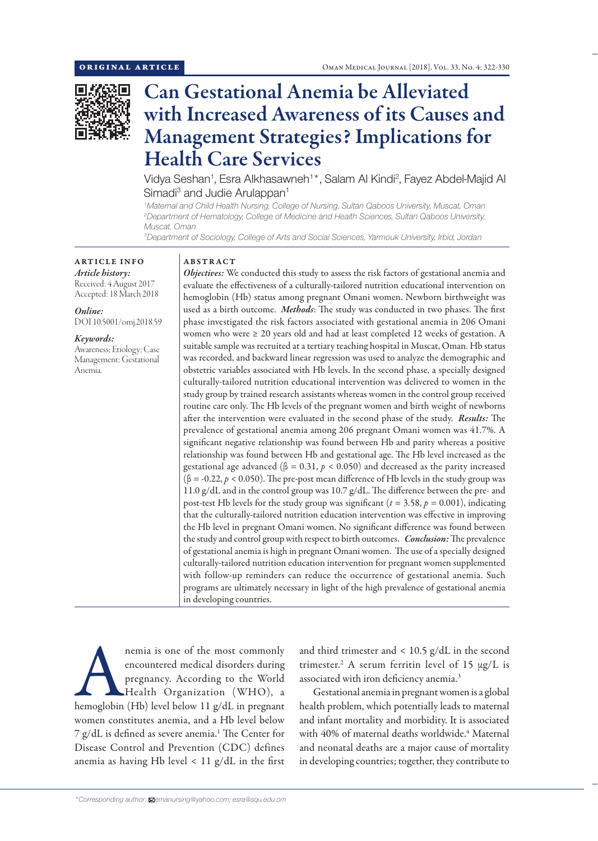

# Can Gestational Anemia be Alleviated with Increased Awareness of its Causes and Management Strategies? Implications for Health Care Services

Vidya Seshan<sup>1</sup>, Esra Alkhasawneh<sup>1\*</sup>, Salam Al Kindi<sup>2</sup>, Fayez Abdel-Majid Al Simadi<sup>3</sup> and Judie Arulappan<sup>1</sup>

*1 Maternal and Child Health Nursing, College of Nursing, Sultan Qaboos University, Muscat, Oman 2 Department of Hematology, College of Medicine and Health Sciences, Sultan Qaboos University, Muscat, Oman*

*3 Department of Sociology, College of Arts and Social Sciences, Yarmouk University, Irbid, Jordan*

## ARTICLE INFO *Article history:* Received: 4 August 2017

Accepted: 18 March 2018

*Online:*

DOI 10.5001/omj.2018.59

### *Keywords:*

Awareness; Etiology; Case Management; Gestational Anemia.

### ABSTRACT

*Objectives:* We conducted this study to assess the risk factors of gestational anemia and evaluate the effectiveness of a culturally-tailored nutrition educational intervention on hemoglobin (Hb) status among pregnant Omani women. Newborn birthweight was used as a birth outcome. *Methods*: The study was conducted in two phases. The first phase investigated the risk factors associated with gestational anemia in 206 Omani women who were ≥ 20 years old and had at least completed 12 weeks of gestation. A suitable sample was recruited at a tertiary teaching hospital in Muscat, Oman. Hb status was recorded, and backward linear regression was used to analyze the demographic and obstetric variables associated with Hb levels. In the second phase, a specially designed culturally-tailored nutrition educational intervention was delivered to women in the study group by trained research assistants whereas women in the control group received routine care only. The Hb levels of the pregnant women and birth weight of newborns after the intervention were evaluated in the second phase of the study. *Results:* The prevalence of gestational anemia among 206 pregnant Omani women was 41.7%. A significant negative relationship was found between Hb and parity whereas a positive relationship was found between Hb and gestational age. The Hb level increased as the gestational age advanced ( $\beta = 0.31$ ,  $p < 0.050$ ) and decreased as the parity increased  $(β = -0.22, p < 0.050)$ . The pre-post mean difference of Hb levels in the study group was 11.0 g/dL and in the control group was 10.7 g/dL. The difference between the pre- and post-test Hb levels for the study group was significant ( $t = 3.58$ ,  $p = 0.001$ ), indicating that the culturally-tailored nutrition education intervention was effective in improving the Hb level in pregnant Omani women. No significant difference was found between the study and control group with respect to birth outcomes. *Conclusion:* The prevalence of gestational anemia is high in pregnant Omani women. The use of a specially designed culturally-tailored nutrition education intervention for pregnant women supplemented with follow-up reminders can reduce the occurrence of gestational anemia. Such programs are ultimately necessary in light of the high prevalence of gestational anemia in developing countries.

nemia is one of the most commonly<br>
encountered medical disorders during<br>
pregnancy. According to the World<br>
Health Organization (WHO), a<br>
hemoglobin (Hb) level below 11 g/dL in pregnant encountered medical disorders during pregnancy. According to the World Health Organization (WHO), a women constitutes anemia, and a Hb level below 7 g/dL is defined as severe anemia.<sup>1</sup> The Center for Disease Control and Prevention (CDC) defines anemia as having Hb level  $< 11$  g/dL in the first

and third trimester and  $\langle 10.5 \text{ g/d}$ L in the second trimester.<sup>2</sup> A serum ferritin level of 15  $\mu$ g/L is associated with iron deficiency anemia.3

Gestational anemia in pregnant women is a global health problem, which potentially leads to maternal and infant mortality and morbidity. It is associated with 40% of maternal deaths worldwide.<sup>4</sup> Maternal and neonatal deaths are a major cause of mortality in developing countries; together, they contribute to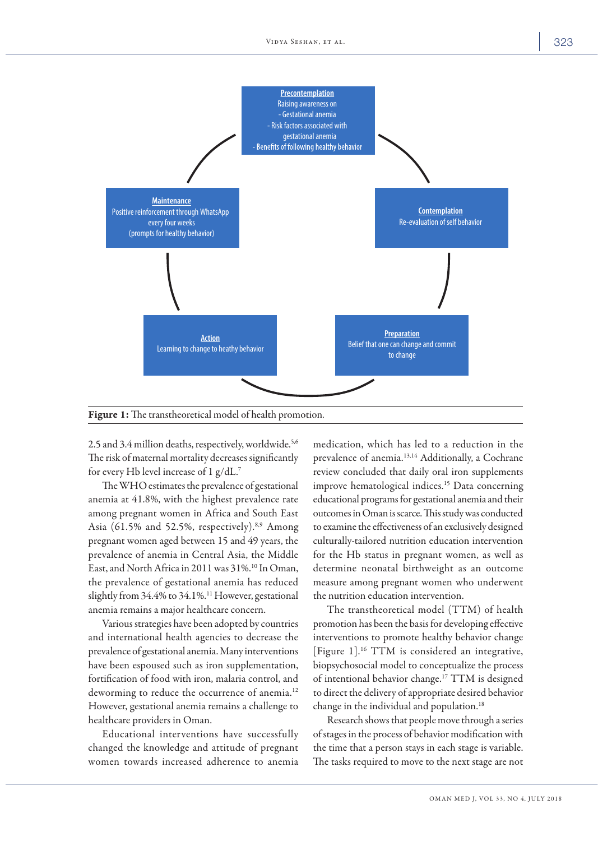

Figure 1: The transtheoretical model of health promotion.

2.5 and 3.4 million deaths, respectively, worldwide.5,6 The risk of maternal mortality decreases significantly for every Hb level increase of 1 g/dL. 7

The WHO estimates the prevalence of gestational anemia at 41.8%, with the highest prevalence rate among pregnant women in Africa and South East Asia (61.5% and 52.5%, respectively).<sup>8,9</sup> Among pregnant women aged between 15 and 49 years, the prevalence of anemia in Central Asia, the Middle East, and North Africa in 2011 was 31%.<sup>10</sup> In Oman, the prevalence of gestational anemia has reduced slightly from 34.4% to 34.1%.<sup>11</sup> However, gestational anemia remains a major healthcare concern.

Various strategies have been adopted by countries and international health agencies to decrease the prevalence of gestational anemia. Many interventions have been espoused such as iron supplementation, fortification of food with iron, malaria control, and deworming to reduce the occurrence of anemia.<sup>12</sup> However, gestational anemia remains a challenge to healthcare providers in Oman.

Educational interventions have successfully changed the knowledge and attitude of pregnant women towards increased adherence to anemia medication, which has led to a reduction in the prevalence of anemia.<sup>13,14</sup> Additionally, a Cochrane review concluded that daily oral iron supplements improve hematological indices.<sup>15</sup> Data concerning educational programs for gestational anemia and their outcomes in Oman is scarce. This study was conducted to examine the effectiveness of an exclusively designed culturally-tailored nutrition education intervention for the Hb status in pregnant women, as well as determine neonatal birthweight as an outcome measure among pregnant women who underwent the nutrition education intervention.

The transtheoretical model (TTM) of health promotion has been the basis for developing effective interventions to promote healthy behavior change [Figure 1].16 TTM is considered an integrative, biopsychosocial model to conceptualize the process of intentional behavior change.17 TTM is designed to direct the delivery of appropriate desired behavior change in the individual and population.<sup>18</sup>

Research shows that people move through a series of stages in the process of behavior modification with the time that a person stays in each stage is variable. The tasks required to move to the next stage are not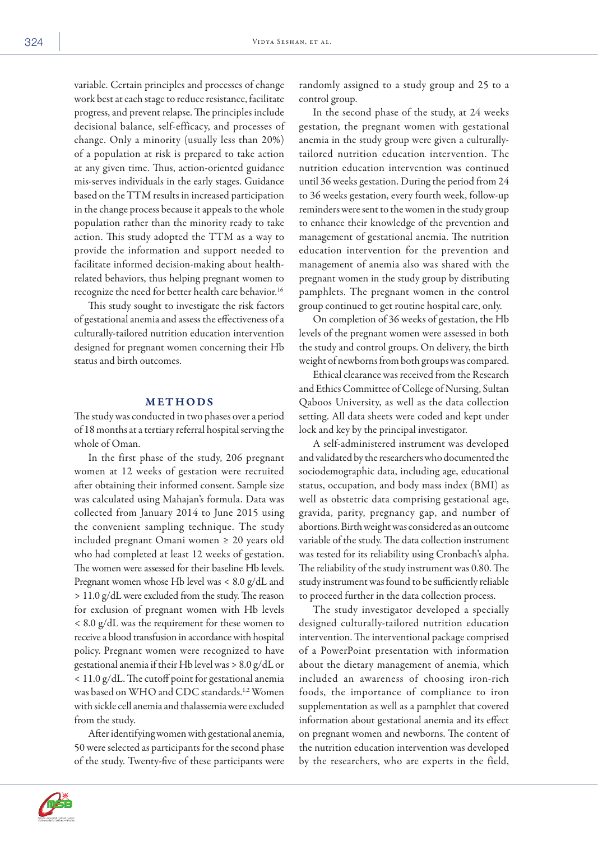variable. Certain principles and processes of change work best at each stage to reduce resistance, facilitate progress, and prevent relapse. The principles include decisional balance, self-efficacy, and processes of change. Only a minority (usually less than 20%) of a population at risk is prepared to take action at any given time. Thus, action-oriented guidance mis-serves individuals in the early stages. Guidance based on the TTM results in increased participation in the change process because it appeals to the whole population rather than the minority ready to take action. This study adopted the TTM as a way to provide the information and support needed to facilitate informed decision-making about healthrelated behaviors, thus helping pregnant women to recognize the need for better health care behavior.<sup>16</sup>

This study sought to investigate the risk factors of gestational anemia and assess the effectiveness of a culturally-tailored nutrition education intervention designed for pregnant women concerning their Hb status and birth outcomes.

# METHODS

The study was conducted in two phases over a period of 18 months at a tertiary referral hospital serving the whole of Oman.

In the first phase of the study, 206 pregnant women at 12 weeks of gestation were recruited after obtaining their informed consent. Sample size was calculated using Mahajan's formula. Data was collected from January 2014 to June 2015 using the convenient sampling technique. The study included pregnant Omani women ≥ 20 years old who had completed at least 12 weeks of gestation. The women were assessed for their baseline Hb levels. Pregnant women whose Hb level was < 8.0 g/dL and > 11.0 g/dL were excluded from the study. The reason for exclusion of pregnant women with Hb levels < 8.0 g/dL was the requirement for these women to receive a blood transfusion in accordance with hospital policy. Pregnant women were recognized to have gestational anemia if their Hb level was > 8.0 g/dL or < 11.0 g/dL. The cutoff point for gestational anemia was based on WHO and CDC standards.<sup>1,2</sup> Women with sickle cell anemia and thalassemia were excluded from the study.

After identifying women with gestational anemia, 50 were selected as participants for the second phase of the study. Twenty-five of these participants were

randomly assigned to a study group and 25 to a control group.

In the second phase of the study, at 24 weeks gestation, the pregnant women with gestational anemia in the study group were given a culturallytailored nutrition education intervention. The nutrition education intervention was continued until 36 weeks gestation. During the period from 24 to 36 weeks gestation, every fourth week, follow-up reminders were sent to the women in the study group to enhance their knowledge of the prevention and management of gestational anemia. The nutrition education intervention for the prevention and management of anemia also was shared with the pregnant women in the study group by distributing pamphlets. The pregnant women in the control group continued to get routine hospital care, only.

On completion of 36 weeks of gestation, the Hb levels of the pregnant women were assessed in both the study and control groups. On delivery, the birth weight of newborns from both groups was compared.

Ethical clearance was received from the Research and Ethics Committee of College of Nursing, Sultan Qaboos University, as well as the data collection setting. All data sheets were coded and kept under lock and key by the principal investigator.

A self-administered instrument was developed and validated by the researchers who documented the sociodemographic data, including age, educational status, occupation, and body mass index (BMI) as well as obstetric data comprising gestational age, gravida, parity, pregnancy gap, and number of abortions. Birth weight was considered as an outcome variable of the study. The data collection instrument was tested for its reliability using Cronbach's alpha. The reliability of the study instrument was 0.80. The study instrument was found to be sufficiently reliable to proceed further in the data collection process.

The study investigator developed a specially designed culturally-tailored nutrition education intervention. The interventional package comprised of a PowerPoint presentation with information about the dietary management of anemia, which included an awareness of choosing iron-rich foods, the importance of compliance to iron supplementation as well as a pamphlet that covered information about gestational anemia and its effect on pregnant women and newborns. The content of the nutrition education intervention was developed by the researchers, who are experts in the field,

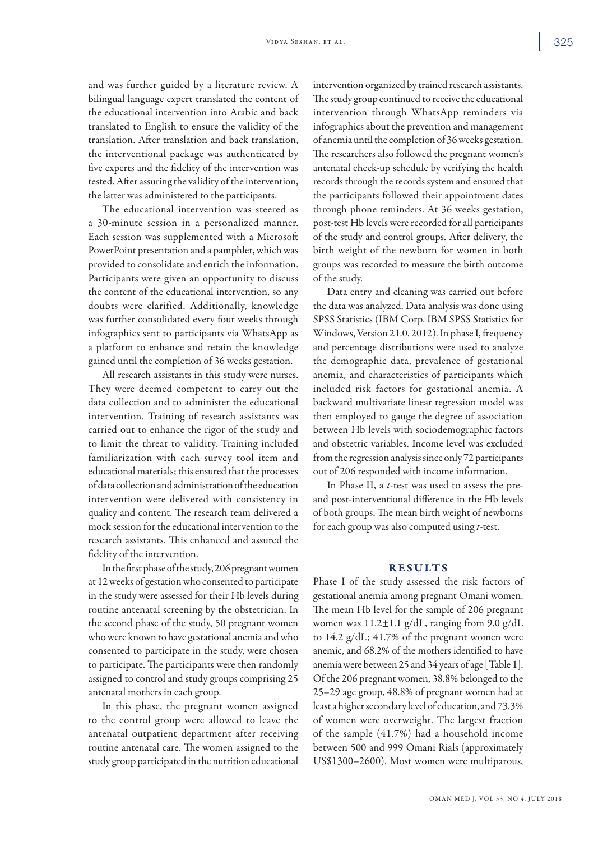and was further guided by a literature review. A bilingual language expert translated the content of the educational intervention into Arabic and back translated to English to ensure the validity of the translation. After translation and back translation, the interventional package was authenticated by five experts and the fidelity of the intervention was tested. After assuring the validity of the intervention,

The educational intervention was steered as a 30-minute session in a personalized manner. Each session was supplemented with a Microsoft PowerPoint presentation and a pamphlet, which was provided to consolidate and enrich the information. Participants were given an opportunity to discuss the content of the educational intervention, so any doubts were clarified. Additionally, knowledge was further consolidated every four weeks through infographics sent to participants via WhatsApp as a platform to enhance and retain the knowledge gained until the completion of 36 weeks gestation.

the latter was administered to the participants.

All research assistants in this study were nurses. They were deemed competent to carry out the data collection and to administer the educational intervention. Training of research assistants was carried out to enhance the rigor of the study and to limit the threat to validity. Training included familiarization with each survey tool item and educational materials; this ensured that the processes of data collection and administration of the education intervention were delivered with consistency in quality and content. The research team delivered a mock session for the educational intervention to the research assistants. This enhanced and assured the fidelity of the intervention.

In the first phase of the study, 206 pregnant women at 12 weeks of gestation who consented to participate in the study were assessed for their Hb levels during routine antenatal screening by the obstetrician. In the second phase of the study, 50 pregnant women who were known to have gestational anemia and who consented to participate in the study, were chosen to participate. The participants were then randomly assigned to control and study groups comprising 25 antenatal mothers in each group.

In this phase, the pregnant women assigned to the control group were allowed to leave the antenatal outpatient department after receiving routine antenatal care. The women assigned to the study group participated in the nutrition educational intervention organized by trained research assistants. The study group continued to receive the educational intervention through WhatsApp reminders via infographics about the prevention and management of anemia until the completion of 36 weeks gestation. The researchers also followed the pregnant women's antenatal check-up schedule by verifying the health records through the records system and ensured that the participants followed their appointment dates through phone reminders. At 36 weeks gestation, post-test Hb levels were recorded for all participants of the study and control groups. After delivery, the birth weight of the newborn for women in both groups was recorded to measure the birth outcome of the study.

Data entry and cleaning was carried out before the data was analyzed. Data analysis was done using SPSS Statistics (IBM Corp. IBM SPSS Statistics for Windows, Version 21.0. 2012). In phase I, frequency and percentage distributions were used to analyze the demographic data, prevalence of gestational anemia, and characteristics of participants which included risk factors for gestational anemia. A backward multivariate linear regression model was then employed to gauge the degree of association between Hb levels with sociodemographic factors and obstetric variables. Income level was excluded from the regression analysis since only 72 participants out of 206 responded with income information.

In Phase II, a *t*-test was used to assess the preand post-interventional difference in the Hb levels of both groups. The mean birth weight of newborns for each group was also computed using *t*-test.

## RESULTS

Phase I of the study assessed the risk factors of gestational anemia among pregnant Omani women. The mean Hb level for the sample of 206 pregnant women was 11.2±1.1 g/dL, ranging from 9.0 g/dL to 14.2 g/dL; 41.7% of the pregnant women were anemic, and 68.2% of the mothers identified to have anemia were between 25 and 34 years of age [Table 1]. Of the 206 pregnant women, 38.8% belonged to the 25–29 age group, 48.8% of pregnant women had at least a higher secondary level of education, and 73.3% of women were overweight. The largest fraction of the sample (41.7%) had a household income between 500 and 999 Omani Rials (approximately US\$1300–2600). Most women were multiparous,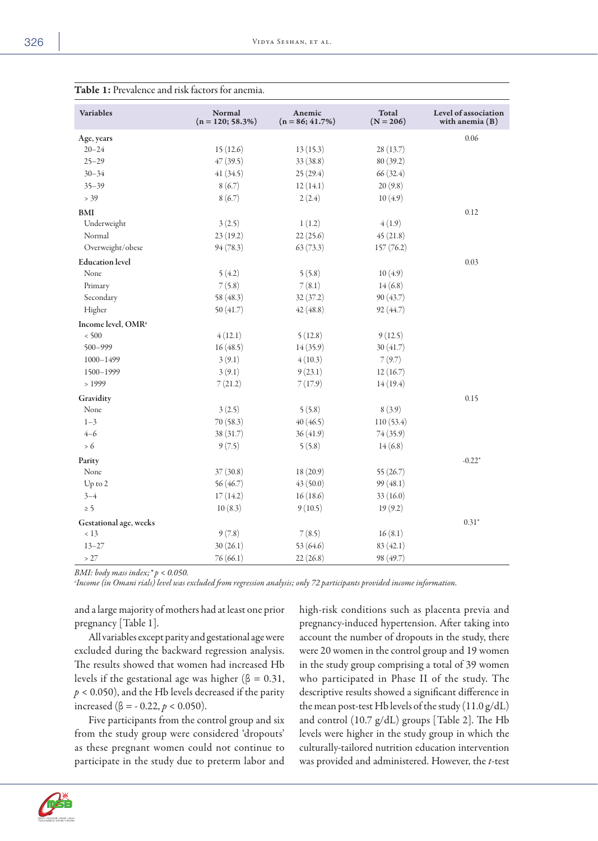| <b>Variables</b>               | Normal<br>$(n = 120; 58.3\%)$ | Anemic<br>$(n = 86; 41.7\%)$ | Total<br>$(N = 206)$ | Level of association<br>with anemia $(B)$ |
|--------------------------------|-------------------------------|------------------------------|----------------------|-------------------------------------------|
| Age, years                     |                               |                              |                      | 0.06                                      |
| $20 - 24$                      | 15(12.6)                      | 13(15.3)                     | 28(13.7)             |                                           |
| $25 - 29$                      | 47(39.5)                      | 33 (38.8)                    | 80 (39.2)            |                                           |
| $30 - 34$                      | 41(34.5)                      | 25(29.4)                     | 66(32.4)             |                                           |
| $35 - 39$                      | 8(6.7)                        | 12(14.1)                     | 20(9.8)              |                                           |
| $> 39$                         | 8(6.7)                        | 2(2.4)                       | 10(4.9)              |                                           |
| <b>BMI</b>                     |                               |                              |                      | 0.12                                      |
| Underweight                    | 3(2.5)                        | 1(1.2)                       | 4(1.9)               |                                           |
| Normal                         | 23(19.2)                      | 22(25.6)                     | 45(21.8)             |                                           |
| Overweight/obese               | 94 (78.3)                     | 63(73.3)                     | 157(76.2)            |                                           |
| <b>Education</b> level         |                               |                              |                      | 0.03                                      |
| None                           | 5(4.2)                        | 5(5.8)                       | 10(4.9)              |                                           |
| Primary                        | 7(5.8)                        | 7(8.1)                       | 14(6.8)              |                                           |
| Secondary                      | 58 (48.3)                     | 32(37.2)                     | 90(43.7)             |                                           |
| Higher                         | 50(41.7)                      | 42(48.8)                     | 92 (44.7)            |                                           |
| Income level, OMR <sup>a</sup> |                               |                              |                      |                                           |
| < 500                          | 4(12.1)                       | 5(12.8)                      | 9(12.5)              |                                           |
| $500 - 999$                    | 16(48.5)                      | 14(35.9)                     | 30(41.7)             |                                           |
| 1000-1499                      | 3(9.1)                        | 4(10.3)                      | 7(9.7)               |                                           |
| 1500-1999                      | 3(9.1)                        | 9(23.1)                      | 12(16.7)             |                                           |
| >1999                          | 7(21.2)                       | 7(17.9)                      | 14(19.4)             |                                           |
| Gravidity                      |                               |                              |                      | 0.15                                      |
| None                           | 3(2.5)                        | 5(5.8)                       | 8(3.9)               |                                           |
| $1 - 3$                        | 70(58.3)                      | 40(46.5)                     | 110(53.4)            |                                           |
| $4 - 6$                        | 38 (31.7)                     | 36(41.9)                     | 74(35.9)             |                                           |
| $> 6$                          | 9(7.5)                        | 5(5.8)                       | 14(6.8)              |                                           |
| Parity                         |                               |                              |                      | $-0.22*$                                  |
| None                           | 37(30.8)                      | 18(20.9)                     | 55 (26.7)            |                                           |
| Up to 2                        | 56 (46.7)                     | 43 (50.0)                    | 99 (48.1)            |                                           |
| $3 - 4$                        | 17(14.2)                      | 16(18.6)                     | 33 (16.0)            |                                           |
| $\geq 5$                       | 10(8.3)                       | 9(10.5)                      | 19(9.2)              |                                           |
| Gestational age, weeks         |                               |                              |                      | $0.31*$                                   |
| < 13                           | 9(7.8)                        | 7(8.5)                       | 16(8.1)              |                                           |
| $13 - 27$                      | 30(26.1)                      | 53 (64.6)                    | 83(42.1)             |                                           |
| >27                            | 76(66.1)                      | 22(26.8)                     | 98 (49.7)            |                                           |

*BMI: body mass index;\* p < 0.050.*

*a Income (in Omani rials) level was excluded from regression analysis; only 72 participants provided income information.*

and a large majority of mothers had at least one prior pregnancy [Table 1].

All variables except parity and gestational age were excluded during the backward regression analysis. The results showed that women had increased Hb levels if the gestational age was higher ( $\beta = 0.31$ , *p* < 0.050), and the Hb levels decreased if the parity increased (β = - 0.22, *p* < 0.050).

Five participants from the control group and six from the study group were considered 'dropouts' as these pregnant women could not continue to participate in the study due to preterm labor and high-risk conditions such as placenta previa and pregnancy-induced hypertension. After taking into account the number of dropouts in the study, there were 20 women in the control group and 19 women in the study group comprising a total of 39 women who participated in Phase II of the study. The descriptive results showed a significant difference in the mean post-test Hb levels of the study  $(11.0 \text{ g}/\text{dL})$ and control (10.7 g/dL) groups [Table 2]. The Hb levels were higher in the study group in which the culturally-tailored nutrition education intervention was provided and administered. However, the *t*-test

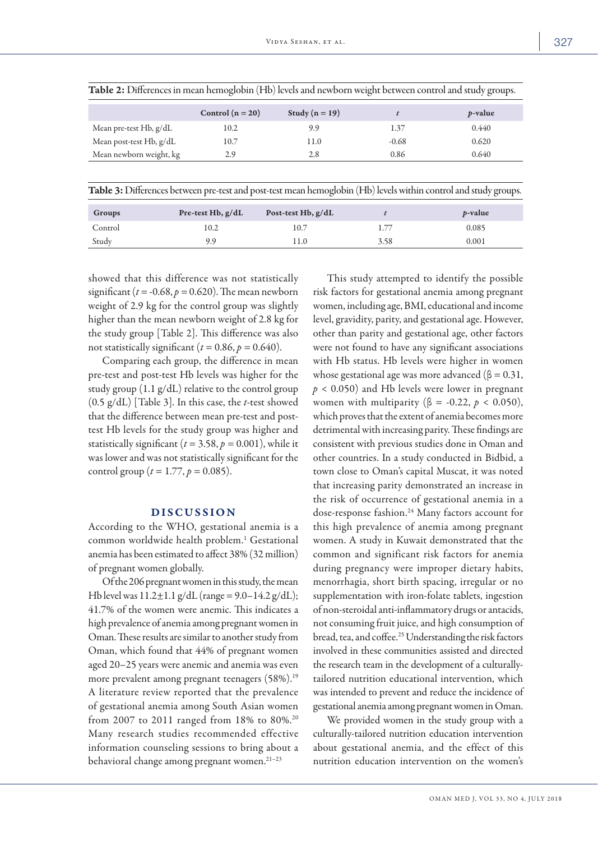| <b>Table 2:</b> Differences in mean hemoglobin (Hb) levels and newborn weight between control and study groups. |                    |                  |         |                 |  |  |
|-----------------------------------------------------------------------------------------------------------------|--------------------|------------------|---------|-----------------|--|--|
|                                                                                                                 | Control $(n = 20)$ | Study $(n = 19)$ |         | <i>p</i> -value |  |  |
| Mean pre-test Hb, g/dL                                                                                          | 10.2               | 9.9              | 1.37    | 0.440           |  |  |
| Mean post-test Hb, g/dL                                                                                         | 10.7               | 11.0             | $-0.68$ | 0.620           |  |  |
| Mean newborn weight, kg                                                                                         | 2.9                | 2.8              | 0.86    | 0.640           |  |  |

Table 3: Differences between pre-test and post-test mean hemoglobin (Hb) levels within control and study groups.

| Groups  | Pre-test Hb, $g/dL$ | Post-test Hb, $g/dL$ |      | <i>p</i> -value |
|---------|---------------------|----------------------|------|-----------------|
| Control | 10.2                | 10.7                 |      | 0.085           |
| Study   | 9.9                 | .1.0                 | 3.58 | 0.001           |

showed that this difference was not statistically significant ( $t = -0.68$ ,  $p = 0.620$ ). The mean newborn weight of 2.9 kg for the control group was slightly higher than the mean newborn weight of 2.8 kg for the study group [Table 2]. This difference was also not statistically significant ( $t = 0.86$ ,  $p = 0.640$ ).

Comparing each group, the difference in mean pre-test and post-test Hb levels was higher for the study group  $(1.1 \text{ g}/d\text{L})$  relative to the control group (0.5 g/dL) [Table 3]. In this case, the *t*-test showed that the difference between mean pre-test and posttest Hb levels for the study group was higher and statistically significant ( $t = 3.58$ ,  $p = 0.001$ ), while it was lower and was not statistically significant for the control group ( $t = 1.77$ ,  $p = 0.085$ ).

# DISCUSSION

According to the WHO, gestational anemia is a common worldwide health problem.<sup>1</sup> Gestational anemia has been estimated to affect 38% (32 million) of pregnant women globally.

Of the 206 pregnant women in this study, the mean Hb level was  $11.2 \pm 1.1$  g/dL (range = 9.0–14.2 g/dL); 41.7% of the women were anemic. This indicates a high prevalence of anemia among pregnant women in Oman. These results are similar to another study from Oman, which found that 44% of pregnant women aged 20–25 years were anemic and anemia was even more prevalent among pregnant teenagers (58%).<sup>19</sup> A literature review reported that the prevalence of gestational anemia among South Asian women from 2007 to 2011 ranged from 18% to 80%.20 Many research studies recommended effective information counseling sessions to bring about a behavioral change among pregnant women.21–23

This study attempted to identify the possible risk factors for gestational anemia among pregnant women, including age, BMI, educational and income level, gravidity, parity, and gestational age. However, other than parity and gestational age, other factors were not found to have any significant associations with Hb status. Hb levels were higher in women whose gestational age was more advanced ( $\beta = 0.31$ , *p* < 0.050) and Hb levels were lower in pregnant women with multiparity ( $\beta$  = -0.22,  $p < 0.050$ ), which proves that the extent of anemia becomes more detrimental with increasing parity. These findings are consistent with previous studies done in Oman and other countries. In a study conducted in Bidbid, a town close to Oman's capital Muscat, it was noted that increasing parity demonstrated an increase in the risk of occurrence of gestational anemia in a dose-response fashion.24 Many factors account for this high prevalence of anemia among pregnant women. A study in Kuwait demonstrated that the common and significant risk factors for anemia during pregnancy were improper dietary habits, menorrhagia, short birth spacing, irregular or no supplementation with iron-folate tablets, ingestion of non-steroidal anti-inflammatory drugs or antacids, not consuming fruit juice, and high consumption of bread, tea, and coffee.<sup>25</sup> Understanding the risk factors involved in these communities assisted and directed the research team in the development of a culturallytailored nutrition educational intervention, which was intended to prevent and reduce the incidence of gestational anemia among pregnant women in Oman.

We provided women in the study group with a culturally-tailored nutrition education intervention about gestational anemia, and the effect of this nutrition education intervention on the women's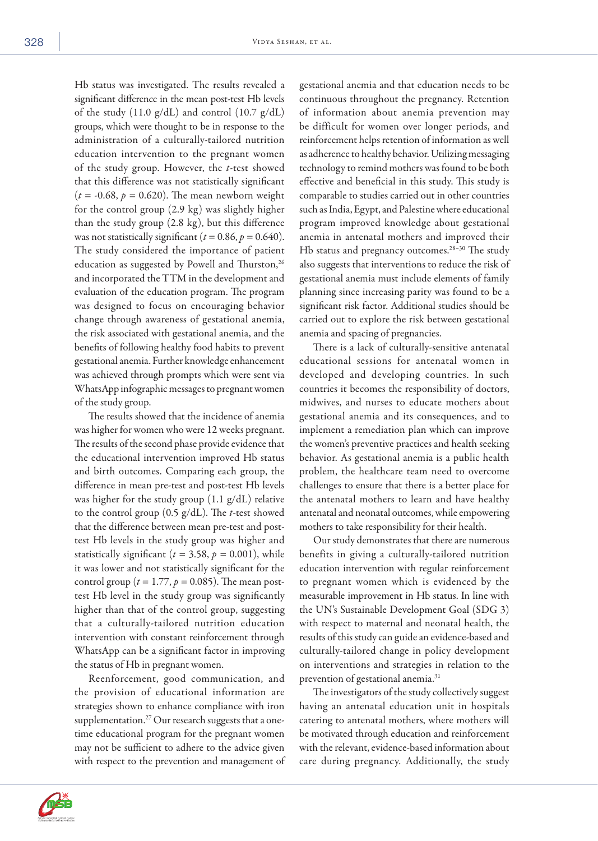Hb status was investigated. The results revealed a significant difference in the mean post-test Hb levels of the study (11.0 g/dL) and control (10.7 g/dL) groups, which were thought to be in response to the administration of a culturally-tailored nutrition education intervention to the pregnant women of the study group. However, the *t*-test showed that this difference was not statistically significant  $(t = -0.68, p = 0.620)$ . The mean newborn weight for the control group (2.9 kg) was slightly higher than the study group (2.8 kg), but this difference was not statistically significant  $(t = 0.86, p = 0.640)$ . The study considered the importance of patient education as suggested by Powell and Thurston,<sup>26</sup> and incorporated the TTM in the development and evaluation of the education program. The program was designed to focus on encouraging behavior change through awareness of gestational anemia, the risk associated with gestational anemia, and the benefits of following healthy food habits to prevent gestational anemia. Further knowledge enhancement was achieved through prompts which were sent via WhatsApp infographic messages to pregnant women of the study group.

The results showed that the incidence of anemia was higher for women who were 12 weeks pregnant. The results of the second phase provide evidence that the educational intervention improved Hb status and birth outcomes. Comparing each group, the difference in mean pre-test and post-test Hb levels was higher for the study group (1.1 g/dL) relative to the control group (0.5 g/dL). The *t*-test showed that the difference between mean pre-test and posttest Hb levels in the study group was higher and statistically significant ( $t = 3.58$ ,  $p = 0.001$ ), while it was lower and not statistically significant for the control group ( $t = 1.77$ ,  $p = 0.085$ ). The mean posttest Hb level in the study group was significantly higher than that of the control group, suggesting that a culturally-tailored nutrition education intervention with constant reinforcement through WhatsApp can be a significant factor in improving the status of Hb in pregnant women.

Reenforcement, good communication, and the provision of educational information are strategies shown to enhance compliance with iron supplementation.<sup>27</sup> Our research suggests that a onetime educational program for the pregnant women may not be sufficient to adhere to the advice given with respect to the prevention and management of gestational anemia and that education needs to be continuous throughout the pregnancy. Retention of information about anemia prevention may be difficult for women over longer periods, and reinforcement helps retention of information as well as adherence to healthy behavior. Utilizing messaging technology to remind mothers was found to be both effective and beneficial in this study. This study is comparable to studies carried out in other countries such as India, Egypt, and Palestine where educational program improved knowledge about gestational anemia in antenatal mothers and improved their Hb status and pregnancy outcomes.<sup>28-30</sup> The study also suggests that interventions to reduce the risk of gestational anemia must include elements of family planning since increasing parity was found to be a significant risk factor. Additional studies should be carried out to explore the risk between gestational anemia and spacing of pregnancies.

There is a lack of culturally-sensitive antenatal educational sessions for antenatal women in developed and developing countries. In such countries it becomes the responsibility of doctors, midwives, and nurses to educate mothers about gestational anemia and its consequences, and to implement a remediation plan which can improve the women's preventive practices and health seeking behavior. As gestational anemia is a public health problem, the healthcare team need to overcome challenges to ensure that there is a better place for the antenatal mothers to learn and have healthy antenatal and neonatal outcomes, while empowering mothers to take responsibility for their health.

Our study demonstrates that there are numerous benefits in giving a culturally-tailored nutrition education intervention with regular reinforcement to pregnant women which is evidenced by the measurable improvement in Hb status. In line with the UN's Sustainable Development Goal (SDG 3) with respect to maternal and neonatal health, the results of this study can guide an evidence-based and culturally-tailored change in policy development on interventions and strategies in relation to the prevention of gestational anemia.<sup>31</sup>

The investigators of the study collectively suggest having an antenatal education unit in hospitals catering to antenatal mothers, where mothers will be motivated through education and reinforcement with the relevant, evidence-based information about care during pregnancy. Additionally, the study

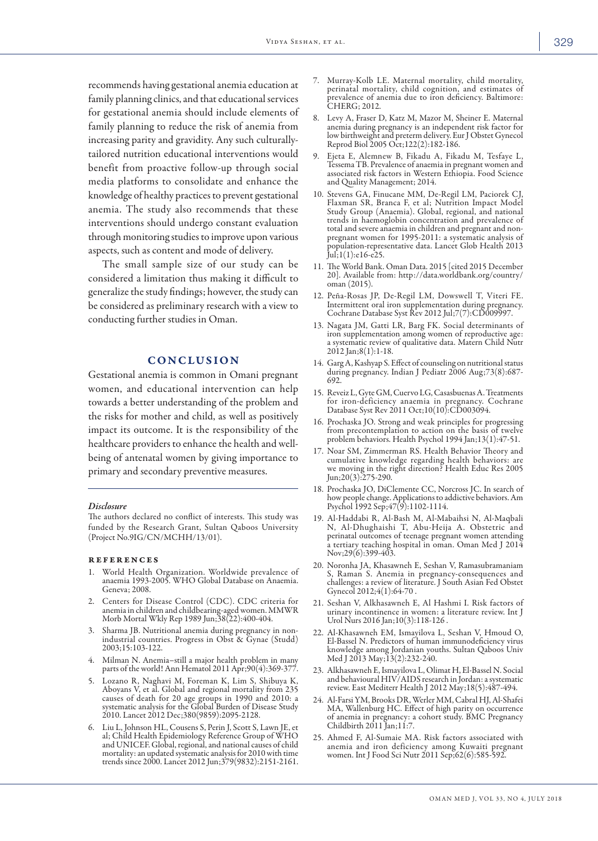recommends having gestational anemia education at family planning clinics, and that educational services for gestational anemia should include elements of family planning to reduce the risk of anemia from increasing parity and gravidity. Any such culturallytailored nutrition educational interventions would benefit from proactive follow-up through social media platforms to consolidate and enhance the knowledge of healthy practices to prevent gestational anemia. The study also recommends that these interventions should undergo constant evaluation through monitoring studies to improve upon various aspects, such as content and mode of delivery.

The small sample size of our study can be considered a limitation thus making it difficult to generalize the study findings; however, the study can be considered as preliminary research with a view to conducting further studies in Oman.

# CONCLUSION

Gestational anemia is common in Omani pregnant women, and educational intervention can help towards a better understanding of the problem and the risks for mother and child, as well as positively impact its outcome. It is the responsibility of the healthcare providers to enhance the health and wellbeing of antenatal women by giving importance to primary and secondary preventive measures.

#### *Disclosure*

The authors declared no conflict of interests. This study was funded by the Research Grant, Sultan Qaboos University (Project No.9IG/CN/MCHH/13/01).

#### **REFERENCES**

- 1. World Health Organization. Worldwide prevalence of anaemia 1993-2005. WHO Global Database on Anaemia. Geneva; 2008.
- 2. Centers for Disease Control (CDC). CDC criteria for anemia in children and childbearing-aged women. MMWR Morb Mortal Wkly Rep 1989 Jun;38(22):400-404.
- 3. Sharma JB. Nutritional anemia during pregnancy in non- industrial countries. Progress in Obst & Gynae (Studd) 2003;15:103-122.
- 4. Milman N. Anemia–still a major health problem in many parts of the world! Ann Hematol 2011 Apr;90(4):369-377.
- 5. Lozano R, Naghavi M, Foreman K, Lim S, Shibuya K, Aboyans V, et al. Global and regional mortality from 235 causes of death for 20 age groups in 1990 and 2010: a systematic analysis for the Global Burden of Disease Study 2010. Lancet 2012 Dec;380(9859):2095-2128.
- 6. Liu L, Johnson HL, Cousens S, Perin J, Scott S, Lawn JE, et al; Child Health Epidemiology Reference Group of WHO and UNICEF. Global, regional, and national causes of child mortality: an updated systematic analysis for 2010 with time trends since 2000. Lancet 2012 Jun;379(9832):2151-2161.
- 7. Murray-Kolb LE. Maternal mortality, child mortality, perinatal mortality, child cognition, and estimates of prevalence of anemia due to iron deficiency. Baltimore: CHERG; 2012.
- 8. Levy A, Fraser D, Katz M, Mazor M, Sheiner E. Maternal anemia during pregnancy is an independent risk factor for low birthweight and preterm delivery. Eur J Obstet Gynecol Reprod Biol 2005 Oct;122(2):182-186.
- 9. Ejeta E, Alemnew B, Fikadu A, Fikadu M, Tesfaye L, Tessema TB. Prevalence of anaemia in pregnant women and associated risk factors in Western Ethiopia. Food Science and Quality Management; 2014.
- 10. Stevens GA, Finucane MM, De-Regil LM, Paciorek CJ, Flaxman SR, Branca F, et al; Nutrition Impact Model Study Group (Anaemia). Global, regional, and national trends in haemoglobin concentration and prevalence of total and severe anaemia in children and pregnant and nonpregnant women for 1995-2011: a systematic analysis of population-representative data. Lancet Glob Health 2013 Jul;1(1):e16-e25.
- 11. The World Bank. Oman Data. 2015 [cited 2015 December 20]. Available from: http://data.worldbank.org/country/ oman (2015).
- 12. Peña-Rosas JP, De-Regil LM, Dowswell T, Viteri FE. Intermittent oral iron supplementation during pregnancy. Cochrane Database Syst Rev 2012 Jul;7(7):CD009997.
- 13. Nagata JM, Gatti LR, Barg FK. Social determinants of iron supplementation among women of reproductive age: a systematic review of qualitative data. Matern Child Nutr 2012 Jan;8(1):1-18.
- 14. Garg A, Kashyap S. Effect of counseling on nutritional status during pregnancy. Indian J Pediatr 2006 Aug;73(8):687- 692.
- 15. Reveiz L, Gyte GM, Cuervo LG, Casasbuenas A. Treatments for iron-deficiency anaemia in pregnancy. Cochrane Database Syst Rev 2011 Oct;10(10):CD003094.
- 16. Prochaska JO. Strong and weak principles for progressing from precontemplation to action on the basis of twelve problem behaviors. Health Psychol 1994 Jan;13(1):47-51.
- 17. Noar SM, Zimmerman RS. Health Behavior Theory and cumulative knowledge regarding health behaviors: are we moving in the right direction? Health Educ Res 2005 Jun;20(3):275-290.
- 18. Prochaska JO, DiClemente CC, Norcross JC. In search of how people change. Applications to addictive behaviors. Am Psychol 1992 Sep;47(9):1102-1114.
- 19. Al-Haddabi R, Al-Bash M, Al-Mabaihsi N, Al-Maqbali N, Al-Dhughaishi T, Abu-Heija A. Obstetric and perinatal outcomes of teenage pregnant women attending a tertiary teaching hospital in oman. Oman Med J 2014 Nov;29(6):399-403.
- 20. Noronha JA, Khasawneh E, Seshan V, Ramasubramaniam challenges: a review of literature. J South Asian Fed Obstet Gynecol 2012;4(1):64-70 .
- 21. Seshan V, Alkhasawneh E, Al Hashmi I. Risk factors of urinary incontinence in women: a literature review. Int J Urol Nurs 2016 Jan;10(3):118-126 .
- 22. Al-Khasawneh EM, Ismayilova L, Seshan V, Hmoud O, El-Bassel N. Predictors of human immunodeficiency virus knowledge among Jordanian youths. Sultan Qaboos Univ Med J 2013 May;13(2):232-240.
- 23. Alkhasawneh E, Ismayilova L, Olimat H, El-Bassel N. Social and behavioural HIV/AIDS research in Jordan: a systematic review. East Mediterr Health J 2012 May;18(5):487-494.
- 24. Al-Farsi YM, Brooks DR, Werler MM, Cabral HJ, Al-Shafei of anemia in pregnancy: a cohort study. BMC Pregnancy<br>Childbirth 2011 Jan;11:7.
- 25. Ahmed F, Al-Sumaie MA. Risk factors associated with anemia and iron deficiency among Kuwaiti pregnant women. Int J Food Sci Nutr 2011 Sep;62(6):585-592.